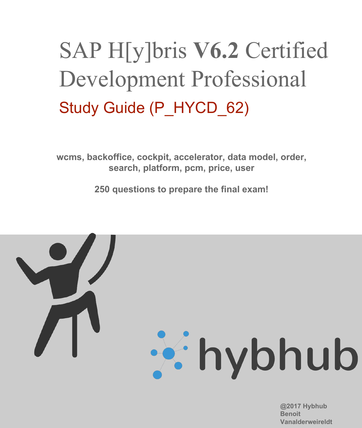# SAP H[y]bris **V6.2** Certified Development Professional Study Guide (P\_HYCD\_62)

**wcms, backoffice, cockpit, accelerator, data model, order, search, platform, pcm, price, user**

**250 questions to prepare the final exam!**



**@2017 Hybhub Benoit Vanalderweireldt**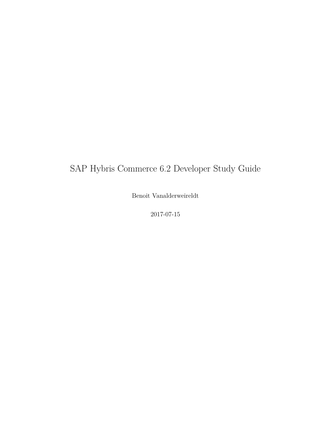### SAP Hybris Commerce 6.2 Developer Study Guide

Benoit Vanalderweireldt

2017-07-15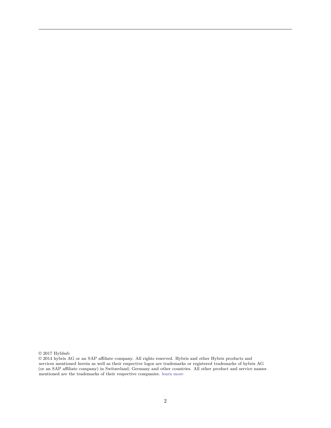$\odot$  2017 Hybhub

 $\odot$  2014 hybris AG or an SAP affiliate company. All rights reserved. Hybris and other Hybris products and services mentioned herein as well as their respective logos are trademarks or registered trademarks of hybris AG (or an SAP affiliate company) in Switzerland, Germany and other countries. All other product and service names mentioned are the trademarks of their respective companies. [learn more](https://www.hybris.com/en/disclaimer/copyright-and-trademarks)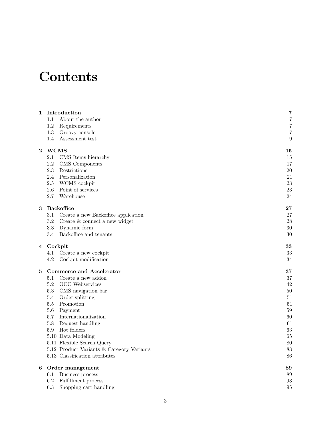## **Contents**

| $\overline{7}$<br>About the author<br>$1.1\,$<br>$\overline{7}$<br>1.2<br>Requirements<br>$\overline{7}$<br>1.3<br>Groovy console<br>9<br>1.4<br>Assessment test<br><b>WCMS</b><br>$\bf{2}$<br>15<br>2.1<br>CMS Items hierarchy<br>15<br>2.2<br>17<br>CMS Components<br>2.3<br>20<br>Restrictions<br>$2.4\,$<br>Personalization<br>21<br>23<br>$2.5\,$<br>WCMS cockpit<br>23<br>2.6<br>Point of services<br>2.7<br>Warehouse<br>24<br><b>Backoffice</b><br>27<br>3<br>27<br>3.1<br>Create a new Backoffice application<br>$\!3.2\!$<br>28<br>Create & connect a new widget<br>$3.3\,$<br>Dynamic form<br>30<br>Backoffice and tenants<br>$3.4\,$<br>30<br>33<br>Cockpit<br>4<br>33<br>Create a new cockpit<br>4.1<br>34<br>4.2<br>Cockpit modification<br><b>Commerce and Accelerator</b><br>37<br>5<br>Create a new addon<br>37<br>5.1<br>$5.2\,$<br><b>OCC</b> Webservices<br>42<br>5.3<br>CMS navigation bar<br>50<br>5.4<br>Order splitting<br>51<br>$5.5\,$<br>Promotion<br>51<br>Payment<br>59<br>5.6<br>Internationalization<br>5.7<br>60<br>Request handling<br>$5.8\,$<br>61<br>Hot folders<br>63<br>5.9<br>65<br>5.10 Data Modeling<br>5.11 Flexible Search Query<br>80<br>5.12 Product Variants & Category Variants<br>83<br>5.13 Classification attributes<br>86<br>Order management<br>89<br>6<br>Business process<br>89<br>6.1<br>Fulfillment process<br>$6.2\,$<br>93<br>Shopping cart handling<br>$6.3\,$<br>95 |   |              |   |
|---------------------------------------------------------------------------------------------------------------------------------------------------------------------------------------------------------------------------------------------------------------------------------------------------------------------------------------------------------------------------------------------------------------------------------------------------------------------------------------------------------------------------------------------------------------------------------------------------------------------------------------------------------------------------------------------------------------------------------------------------------------------------------------------------------------------------------------------------------------------------------------------------------------------------------------------------------------------------------------------------------------------------------------------------------------------------------------------------------------------------------------------------------------------------------------------------------------------------------------------------------------------------------------------------------------------------------------------------------------------------------------------------------------------------------|---|--------------|---|
|                                                                                                                                                                                                                                                                                                                                                                                                                                                                                                                                                                                                                                                                                                                                                                                                                                                                                                                                                                                                                                                                                                                                                                                                                                                                                                                                                                                                                                 | 1 | Introduction | 7 |
|                                                                                                                                                                                                                                                                                                                                                                                                                                                                                                                                                                                                                                                                                                                                                                                                                                                                                                                                                                                                                                                                                                                                                                                                                                                                                                                                                                                                                                 |   |              |   |
|                                                                                                                                                                                                                                                                                                                                                                                                                                                                                                                                                                                                                                                                                                                                                                                                                                                                                                                                                                                                                                                                                                                                                                                                                                                                                                                                                                                                                                 |   |              |   |
|                                                                                                                                                                                                                                                                                                                                                                                                                                                                                                                                                                                                                                                                                                                                                                                                                                                                                                                                                                                                                                                                                                                                                                                                                                                                                                                                                                                                                                 |   |              |   |
|                                                                                                                                                                                                                                                                                                                                                                                                                                                                                                                                                                                                                                                                                                                                                                                                                                                                                                                                                                                                                                                                                                                                                                                                                                                                                                                                                                                                                                 |   |              |   |
|                                                                                                                                                                                                                                                                                                                                                                                                                                                                                                                                                                                                                                                                                                                                                                                                                                                                                                                                                                                                                                                                                                                                                                                                                                                                                                                                                                                                                                 |   |              |   |
|                                                                                                                                                                                                                                                                                                                                                                                                                                                                                                                                                                                                                                                                                                                                                                                                                                                                                                                                                                                                                                                                                                                                                                                                                                                                                                                                                                                                                                 |   |              |   |
|                                                                                                                                                                                                                                                                                                                                                                                                                                                                                                                                                                                                                                                                                                                                                                                                                                                                                                                                                                                                                                                                                                                                                                                                                                                                                                                                                                                                                                 |   |              |   |
|                                                                                                                                                                                                                                                                                                                                                                                                                                                                                                                                                                                                                                                                                                                                                                                                                                                                                                                                                                                                                                                                                                                                                                                                                                                                                                                                                                                                                                 |   |              |   |
|                                                                                                                                                                                                                                                                                                                                                                                                                                                                                                                                                                                                                                                                                                                                                                                                                                                                                                                                                                                                                                                                                                                                                                                                                                                                                                                                                                                                                                 |   |              |   |
|                                                                                                                                                                                                                                                                                                                                                                                                                                                                                                                                                                                                                                                                                                                                                                                                                                                                                                                                                                                                                                                                                                                                                                                                                                                                                                                                                                                                                                 |   |              |   |
|                                                                                                                                                                                                                                                                                                                                                                                                                                                                                                                                                                                                                                                                                                                                                                                                                                                                                                                                                                                                                                                                                                                                                                                                                                                                                                                                                                                                                                 |   |              |   |
|                                                                                                                                                                                                                                                                                                                                                                                                                                                                                                                                                                                                                                                                                                                                                                                                                                                                                                                                                                                                                                                                                                                                                                                                                                                                                                                                                                                                                                 |   |              |   |
|                                                                                                                                                                                                                                                                                                                                                                                                                                                                                                                                                                                                                                                                                                                                                                                                                                                                                                                                                                                                                                                                                                                                                                                                                                                                                                                                                                                                                                 |   |              |   |
|                                                                                                                                                                                                                                                                                                                                                                                                                                                                                                                                                                                                                                                                                                                                                                                                                                                                                                                                                                                                                                                                                                                                                                                                                                                                                                                                                                                                                                 |   |              |   |
|                                                                                                                                                                                                                                                                                                                                                                                                                                                                                                                                                                                                                                                                                                                                                                                                                                                                                                                                                                                                                                                                                                                                                                                                                                                                                                                                                                                                                                 |   |              |   |
|                                                                                                                                                                                                                                                                                                                                                                                                                                                                                                                                                                                                                                                                                                                                                                                                                                                                                                                                                                                                                                                                                                                                                                                                                                                                                                                                                                                                                                 |   |              |   |
|                                                                                                                                                                                                                                                                                                                                                                                                                                                                                                                                                                                                                                                                                                                                                                                                                                                                                                                                                                                                                                                                                                                                                                                                                                                                                                                                                                                                                                 |   |              |   |
|                                                                                                                                                                                                                                                                                                                                                                                                                                                                                                                                                                                                                                                                                                                                                                                                                                                                                                                                                                                                                                                                                                                                                                                                                                                                                                                                                                                                                                 |   |              |   |
|                                                                                                                                                                                                                                                                                                                                                                                                                                                                                                                                                                                                                                                                                                                                                                                                                                                                                                                                                                                                                                                                                                                                                                                                                                                                                                                                                                                                                                 |   |              |   |
|                                                                                                                                                                                                                                                                                                                                                                                                                                                                                                                                                                                                                                                                                                                                                                                                                                                                                                                                                                                                                                                                                                                                                                                                                                                                                                                                                                                                                                 |   |              |   |
|                                                                                                                                                                                                                                                                                                                                                                                                                                                                                                                                                                                                                                                                                                                                                                                                                                                                                                                                                                                                                                                                                                                                                                                                                                                                                                                                                                                                                                 |   |              |   |
|                                                                                                                                                                                                                                                                                                                                                                                                                                                                                                                                                                                                                                                                                                                                                                                                                                                                                                                                                                                                                                                                                                                                                                                                                                                                                                                                                                                                                                 |   |              |   |
|                                                                                                                                                                                                                                                                                                                                                                                                                                                                                                                                                                                                                                                                                                                                                                                                                                                                                                                                                                                                                                                                                                                                                                                                                                                                                                                                                                                                                                 |   |              |   |
|                                                                                                                                                                                                                                                                                                                                                                                                                                                                                                                                                                                                                                                                                                                                                                                                                                                                                                                                                                                                                                                                                                                                                                                                                                                                                                                                                                                                                                 |   |              |   |
|                                                                                                                                                                                                                                                                                                                                                                                                                                                                                                                                                                                                                                                                                                                                                                                                                                                                                                                                                                                                                                                                                                                                                                                                                                                                                                                                                                                                                                 |   |              |   |
|                                                                                                                                                                                                                                                                                                                                                                                                                                                                                                                                                                                                                                                                                                                                                                                                                                                                                                                                                                                                                                                                                                                                                                                                                                                                                                                                                                                                                                 |   |              |   |
|                                                                                                                                                                                                                                                                                                                                                                                                                                                                                                                                                                                                                                                                                                                                                                                                                                                                                                                                                                                                                                                                                                                                                                                                                                                                                                                                                                                                                                 |   |              |   |
|                                                                                                                                                                                                                                                                                                                                                                                                                                                                                                                                                                                                                                                                                                                                                                                                                                                                                                                                                                                                                                                                                                                                                                                                                                                                                                                                                                                                                                 |   |              |   |
|                                                                                                                                                                                                                                                                                                                                                                                                                                                                                                                                                                                                                                                                                                                                                                                                                                                                                                                                                                                                                                                                                                                                                                                                                                                                                                                                                                                                                                 |   |              |   |
|                                                                                                                                                                                                                                                                                                                                                                                                                                                                                                                                                                                                                                                                                                                                                                                                                                                                                                                                                                                                                                                                                                                                                                                                                                                                                                                                                                                                                                 |   |              |   |
|                                                                                                                                                                                                                                                                                                                                                                                                                                                                                                                                                                                                                                                                                                                                                                                                                                                                                                                                                                                                                                                                                                                                                                                                                                                                                                                                                                                                                                 |   |              |   |
|                                                                                                                                                                                                                                                                                                                                                                                                                                                                                                                                                                                                                                                                                                                                                                                                                                                                                                                                                                                                                                                                                                                                                                                                                                                                                                                                                                                                                                 |   |              |   |
|                                                                                                                                                                                                                                                                                                                                                                                                                                                                                                                                                                                                                                                                                                                                                                                                                                                                                                                                                                                                                                                                                                                                                                                                                                                                                                                                                                                                                                 |   |              |   |
|                                                                                                                                                                                                                                                                                                                                                                                                                                                                                                                                                                                                                                                                                                                                                                                                                                                                                                                                                                                                                                                                                                                                                                                                                                                                                                                                                                                                                                 |   |              |   |
|                                                                                                                                                                                                                                                                                                                                                                                                                                                                                                                                                                                                                                                                                                                                                                                                                                                                                                                                                                                                                                                                                                                                                                                                                                                                                                                                                                                                                                 |   |              |   |
|                                                                                                                                                                                                                                                                                                                                                                                                                                                                                                                                                                                                                                                                                                                                                                                                                                                                                                                                                                                                                                                                                                                                                                                                                                                                                                                                                                                                                                 |   |              |   |
|                                                                                                                                                                                                                                                                                                                                                                                                                                                                                                                                                                                                                                                                                                                                                                                                                                                                                                                                                                                                                                                                                                                                                                                                                                                                                                                                                                                                                                 |   |              |   |
|                                                                                                                                                                                                                                                                                                                                                                                                                                                                                                                                                                                                                                                                                                                                                                                                                                                                                                                                                                                                                                                                                                                                                                                                                                                                                                                                                                                                                                 |   |              |   |
|                                                                                                                                                                                                                                                                                                                                                                                                                                                                                                                                                                                                                                                                                                                                                                                                                                                                                                                                                                                                                                                                                                                                                                                                                                                                                                                                                                                                                                 |   |              |   |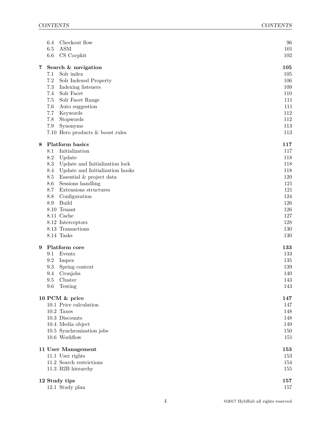|   | Checkout flow<br>6.4                   | 96  |
|---|----------------------------------------|-----|
|   | $6.5\,$<br><b>ASM</b>                  | 101 |
|   | $6.6\,$<br>CS Cocpkit                  | 102 |
| 7 | Search & navigation                    | 105 |
|   | Solr index<br>7.1                      | 105 |
|   | 7.2<br>Solr Indexed Property           | 106 |
|   | 7.3<br>Indexing listeners              | 109 |
|   | Solr Facet<br>7.4                      | 110 |
|   | Solr Facet Range<br>7.5                | 111 |
|   | 7.6<br>Auto suggestion                 | 111 |
|   | 7.7<br>Keywords                        | 112 |
|   | 7.8<br>Stopwords                       | 112 |
|   | 7.9<br>Synonyms                        | 113 |
|   | 7.10 Hero products & boost rules       | 113 |
| 8 | Platform basics                        | 117 |
|   | Initialization<br>8.1                  | 117 |
|   | $\!\!\!\!\!8.2$<br>Update              | 118 |
|   | 8.3<br>Update and Initialization lock  | 118 |
|   | Update and Initialization hooks<br>8.4 | 118 |
|   | Essential $\&$ project data<br>8.5     | 120 |
|   | Sessions handling<br>8.6               | 121 |
|   | Extensions structures<br>8.7           | 121 |
|   | 8.8<br>Configuration                   | 124 |
|   | <b>Build</b><br>8.9                    | 126 |
|   | 8.10 Tenant                            | 126 |
|   | 8.11 Cache                             | 127 |
|   | 8.12 Interceptors                      | 128 |
|   | 8.13 Transactions                      | 130 |
|   | 8.14 Tasks                             | 130 |
| 9 | Platform core                          | 133 |
|   | 9.1<br>Events                          | 133 |
|   | 9.2<br>Impex                           | 135 |
|   | 9.3<br>Spring context                  | 139 |
|   | 9.4<br>Cronjobs                        | 140 |
|   | Cluster<br>$9.5^{\circ}$               | 143 |
|   | 9.6<br>Testing                         | 143 |
|   | 10 PCM & price                         | 147 |
|   | 10.1 Price calculation                 | 147 |
|   | $10.2$ Taxes                           | 148 |
|   | 10.3 Discounts                         | 148 |
|   | 10.4 Media object                      | 149 |
|   | 10.5 Synchronization jobs              | 150 |
|   | 10.6 Workflow                          | 151 |
|   | 11 User Management                     | 153 |
|   | 11.1 User rights                       | 153 |
|   | 11.2 Search restrictions               | 154 |
|   | 11.3 B2B hierarchy                     | 155 |
|   | 12 Study tips                          | 157 |
|   | 12.1 Study plan                        | 157 |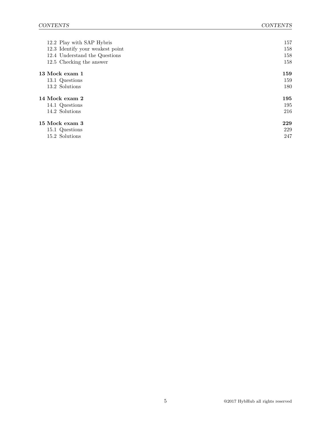| 12.2 Play with SAP Hybris        | 157 |
|----------------------------------|-----|
| 12.3 Identify your weakest point | 158 |
| 12.4 Understand the Questions    | 158 |
| 12.5 Checking the answer         | 158 |
| 13 Mock exam 1                   | 159 |
| 13.1 Questions                   | 159 |
| 13.2 Solutions                   | 180 |
| 14 Mock exam 2                   | 195 |
| 14.1 Questions                   | 195 |
| 14.2 Solutions                   | 216 |
| 15 Mock exam 3                   | 229 |
| 15.1 Questions                   | 229 |
| 15.2 Solutions                   | 247 |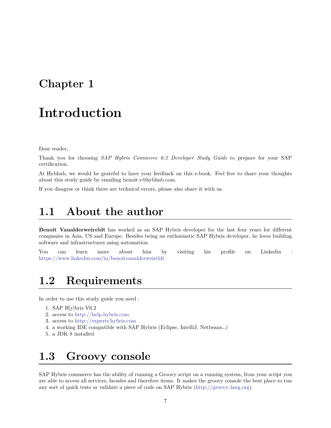### <span id="page-7-0"></span>**Chapter 1**

### **Introduction**

Dear reader,

Thank you for choosing *SAP Hybris Commerce 6.2 Developer Study Guide* to prepare for your SAP certification.

At Hybhub, we would be grateful to have your feedback on this e-book. Feel free to share your thoughts about this study guide by emailing benoit.v@hybhub.com.

If you disagree or think there are technical errors, please also share it with us.

### <span id="page-7-1"></span>**1.1 About the author**

**Benoit Vanalderweireldt** has worked as an SAP Hybris developer for the last four years for diferent companies in Asia, US and Europe. Besides being an enthusiastic SAP Hybris developer, he loves building software and infrastructures using automation.

You can learn more about him by visiting his profile on Linkedin : <https://www.linkedin.com/in/benoitvanalderweireldt>

### <span id="page-7-2"></span>**1.2 Requirements**

In order to use this study guide you need :

- 1. SAP H[y]bris V6.2
- 2. access to <http://help.hybris.com>
- 3. access to <http://experts.hybris.com>
- 4. a working IDE compatible with SAP Hybris (Eclipse, IntelliJ, Netbeans…)
- 5. a JDK 8 installed

### <span id="page-7-3"></span>**1.3 Groovy console**

SAP Hybris commerce has the ability of running a Groovy script on a running system, from your script you are able to access all services, facades and therefore items. It makes the groovy console the best place to run any sort of quick tests or validate a piece of code on SAP Hybris([http://groovy-lang.org\)](http://groovy-lang.org).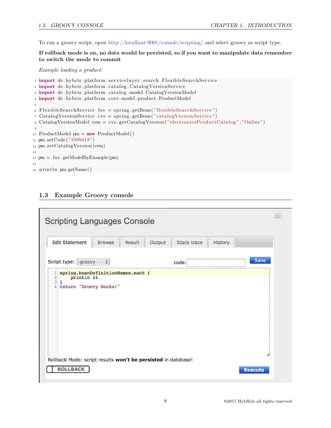To run a groovy script, open <http://localhost:9001/console/scripting/> and select groovy as script type.

#### **If rollback mode is on, no data would be persisted, so if you want to manipulate data remember to switch the mode to commit**

*Example loading a product:*

```
1 import de. hybris. platform. servicelayer. search. FlexibleSearchService
2 import de. hybris. platform. catalog. CatalogVersionService
3 import de . hybris . platform . catalog . model . CatalogVersionModel
4 import de . hybris . platform . core . model . product . ProductModel
5
6 FlexibleSearchService fss = spring.getBean("flexibleSearchService")
7 CatalogVersionService cvs = spring . getBean ("catalogVersionService")
8 CatalogVersionModel cvm = cvs . getCatalogVersion ("electronicsProductCatalog" ,"Online")
9
10 ProductModel pm = new ProductModel ()
11 pm. setCode ("1099413")
12 pm. setCatalogVersion (cvm)
13
14 pm = f s s . getModelByExample(pm)
15
16 println pm. getName()
```
#### **1.3 Example Groovy console**

| <b>Scripting Languages Console</b><br><b>Edit Statement</b>                                                  | <b>Browse</b>                  | Result<br>Output | Stack trace | History |             |
|--------------------------------------------------------------------------------------------------------------|--------------------------------|------------------|-------------|---------|-------------|
| Script type: groovy                                                                                          | $\frac{\triangle}{\mathbf{v}}$ |                  | code:       |         | <b>Save</b> |
| 1 spring.beanDefinitionNames.each {<br>println it<br>$\overline{c}$<br>3<br>ł<br>return "Groovy Rocks!"<br>4 |                                |                  |             |         |             |
| Rollback Mode: script results won't be persisted in database!<br><b>ROLLBACK</b>                             |                                |                  |             |         | h,          |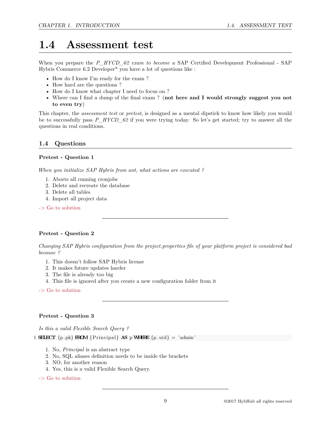### <span id="page-9-0"></span>**1.4 Assessment test**

When you prepare the *P\_HYCD\_62 exam to become a* SAP Certified Development Professional - SAP Hybris Commerce 6.2 Developer\* you have a lot of questions like :

- How do I know I'm ready for the exam?
- How hard are the questions?
- How do I know what chapter I need to focus on ?
- Where can I ind a dump of the inal exam ? (**not here and I would strongly suggest you not to even try**)

This chapter, the *assessment test* or *pretest*, is designed as a mental dipstick to know how likely you would be to successfully pass  $P_HYCD_62$  if you were trying today. So let's get started; try to answer all the questions in real conditions.

#### **1.4 Questions**

#### **Pretest - Question 1**

*When you initialize SAP Hybris from ant, what actions are executed ?*

- 1. Aborts all running cronjobs
- 2. Delete and recreate the database
- 3. Delete all tables
- 4. Import all project data

-> Go to solution

#### **Pretest - Question 2**

*Changing SAP Hybris coniguration from the project.properties ile of your platform project is considered bad because ?*

- 1. This doesn't follow SAP Hybris license
- 2. It makes future updates harder
- 3. The file is already too big
- 4. This file is ignored after you create a new configuration folder from it
- -> Go to solution

#### **Pretest - Question 3**

*Is this a valid Flexible Search Query ?*

1 **SELECT**  $\{p. pk\}$  **FROM**  $\{Principal\}$  **AS**  $p$  **WHERE**  $\{p.uid\} = 'admin'$ 

- 1. No, *Principal* is an abstract type
- 2. No, SQL aliases deinition needs to be inside the brackets
- 3. NO, for another reason
- 4. Yes, this is a valid Flexible Search Query.

-> Go to solution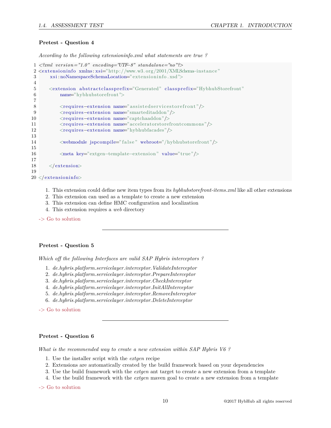#### **Pretest - Question 4**

*According to the following extensioninfo.xml what statements are true ?*

```
1 <?xml vers ion="1.0" encoding="UTF−8" standalone="no"?>
2 <extensioninfo xmlns:xsi="http://www.w3.org/2001/XMLSchema-instance"
3 x si : noNamespaceSchemaLocation=" extensionin fo . xsd">
4
5 <extension abstractclassprefix="Generated" classprefix="HybhubStorefront"
6 name="hybhubstorefront">
7
8 <requires-extension name="assisted services to refront"/>
9 <requires-extension name="smarteditaddon"/>
10 <requires−extension name="captchaaddon"/>
11 <requires−extension name="acceleratorstorefrontcommons"/>
12 <requires−extension name="hybhubfacades"/>
13
14 <webmodule jspcompile="false" webroot="/hybhubstorefront"/>
15
16 <meta key="extgen−template−extension" value=" true"/>
17
18 \langle/extension>
19
20 </extensioninfo>
```
- 1. This extension could deine new item types from its *hybhubstorefront-items.xml* like all other extensions
- 2. This extension can used as a template to create a new extension
- 3. This extension can deine HMC coniguration and localization
- 4. This extension requires a *web* directory

-> Go to solution

#### **Pretest - Question 5**

*Which off the following Interfaces are valid SAP Hybris interceptors?* 

- 1. *de.hybris.platform.servicelayer.interceptor.ValidateInterceptor*
- 2. *de.hybris.platform.servicelayer.interceptor.PrepareInterceptor*
- 3. *de.hybris.platform.servicelayer.interceptor.CheckInterceptor*
- 4. *de.hybris.platform.servicelayer.interceptor.InitAllInterceptor*
- 5. *de.hybris.platform.servicelayer.interceptor.RemoveInterceptor*
- 6. *de.hybris.platform.servicelayer.interceptor.DeleteInterceptor*

-> Go to solution

#### **Pretest - Question 6**

*What is the recommended way to create a new extension within SAP Hybris V6 ?*

- 1. Use the installer script with the *extgen* recipe
- 2. Extensions are automatically created by the build framework based on your dependencies
- 3. Use the build framework with the *extgen* ant target to create a new extension from a template
- 4. Use the build framework with the *extgen* maven goal to create a new extension from a template

-> Go to solution